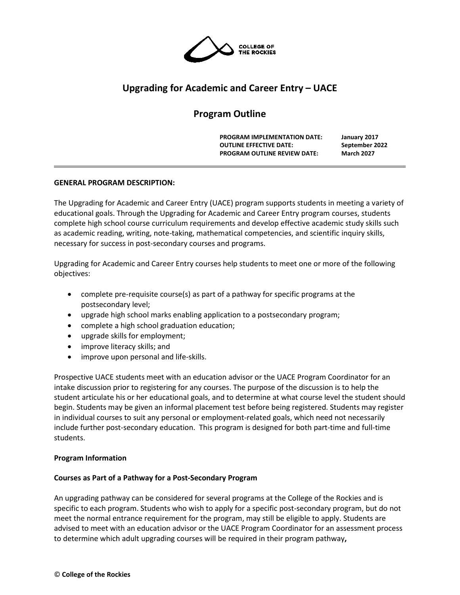

# **Upgrading for Academic and Career Entry – UACE**

# **Program Outline**

**PROGRAM IMPLEMENTATION DATE: January 2017 OUTLINE EFFECTIVE DATE: September 2022 PROGRAM OUTLINE REVIEW DATE: March 2027** 

# **GENERAL PROGRAM DESCRIPTION:**

The Upgrading for Academic and Career Entry (UACE) program supports students in meeting a variety of educational goals. Through the Upgrading for Academic and Career Entry program courses, students complete high school course curriculum requirements and develop effective academic study skills such as academic reading, writing, note-taking, mathematical competencies, and scientific inquiry skills, necessary for success in post-secondary courses and programs.

Upgrading for Academic and Career Entry courses help students to meet one or more of the following objectives:

- complete pre-requisite course(s) as part of a pathway for specific programs at the postsecondary level;
- upgrade high school marks enabling application to a postsecondary program;
- complete a high school graduation education;
- upgrade skills for employment;
- improve literacy skills; and
- improve upon personal and life-skills.

Prospective UACE students meet with an education advisor or the UACE Program Coordinator for an intake discussion prior to registering for any courses. The purpose of the discussion is to help the student articulate his or her educational goals, and to determine at what course level the student should begin. Students may be given an informal placement test before being registered. Students may register in individual courses to suit any personal or employment-related goals, which need not necessarily include further post-secondary education. This program is designed for both part-time and full-time students.

## **Program Information**

# **Courses as Part of a Pathway for a Post-Secondary Program**

An upgrading pathway can be considered for several programs at the College of the Rockies and is specific to each program. Students who wish to apply for a specific post-secondary program, but do not meet the normal entrance requirement for the program, may still be eligible to apply. Students are advised to meet with an education advisor or the UACE Program Coordinator for an assessment process to determine which adult upgrading courses will be required in their program pathway**,**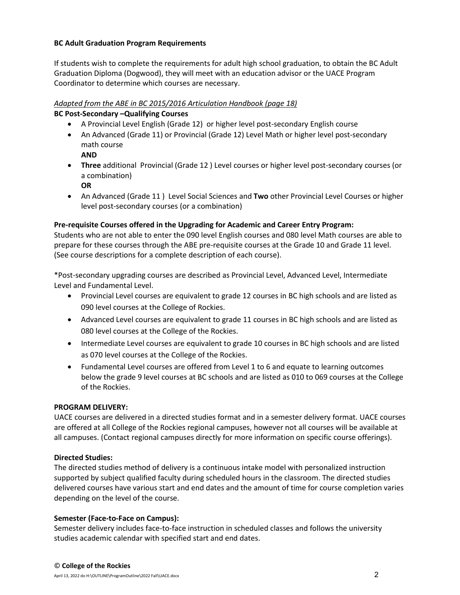# **BC Adult Graduation Program Requirements**

If students wish to complete the requirements for adult high school graduation, to obtain the BC Adult Graduation Diploma (Dogwood), they will meet with an education advisor or the UACE Program Coordinator to determine which courses are necessary.

# *Adapted from the ABE in BC 2015/2016 Articulation Handbook (page 18)*

# **BC Post-Secondary –Qualifying Courses**

- A Provincial Level English (Grade 12) or higher level post-secondary English course
- An Advanced (Grade 11) or Provincial (Grade 12) Level Math or higher level post-secondary math course

**AND**

- **Three** additional Provincial (Grade 12 ) Level courses or higher level post-secondary courses (or a combination)
	- **OR**
- An Advanced (Grade 11 ) Level Social Sciences and **Two** other Provincial Level Courses or higher level post-secondary courses (or a combination)

# **Pre-requisite Courses offered in the Upgrading for Academic and Career Entry Program:**

Students who are not able to enter the 090 level English courses and 080 level Math courses are able to prepare for these courses through the ABE pre-requisite courses at the Grade 10 and Grade 11 level. (See course descriptions for a complete description of each course).

\*Post-secondary upgrading courses are described as Provincial Level, Advanced Level, Intermediate Level and Fundamental Level.

- Provincial Level courses are equivalent to grade 12 courses in BC high schools and are listed as 090 level courses at the College of Rockies.
- Advanced Level courses are equivalent to grade 11 courses in BC high schools and are listed as 080 level courses at the College of the Rockies.
- Intermediate Level courses are equivalent to grade 10 courses in BC high schools and are listed as 070 level courses at the College of the Rockies.
- Fundamental Level courses are offered from Level 1 to 6 and equate to learning outcomes below the grade 9 level courses at BC schools and are listed as 010 to 069 courses at the College of the Rockies.

# **PROGRAM DELIVERY:**

UACE courses are delivered in a directed studies format and in a semester delivery format. UACE courses are offered at all College of the Rockies regional campuses, however not all courses will be available at all campuses. (Contact regional campuses directly for more information on specific course offerings).

# **Directed Studies:**

The directed studies method of delivery is a continuous intake model with personalized instruction supported by subject qualified faculty during scheduled hours in the classroom. The directed studies delivered courses have various start and end dates and the amount of time for course completion varies depending on the level of the course.

# **Semester (Face-to-Face on Campus):**

Semester delivery includes face-to-face instruction in scheduled classes and follows the university studies academic calendar with specified start and end dates.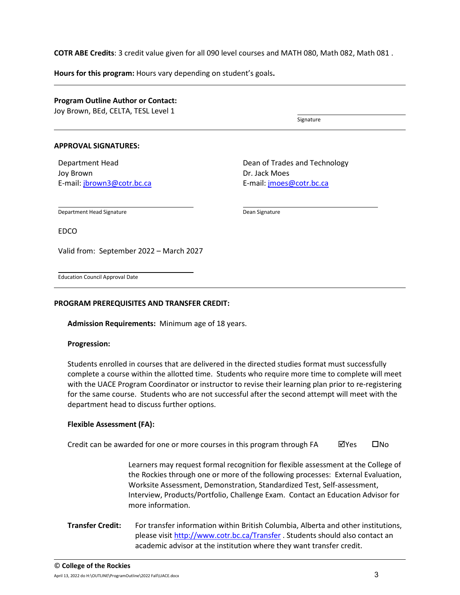**COTR ABE Credits**: 3 credit value given for all 090 level courses and MATH 080, Math 082, Math 081 .

**Hours for this program:** Hours vary depending on student's goals**.**

# **Program Outline Author or Contact:**

Joy Brown, BEd, CELTA, TESL Level 1

Signature

## **APPROVAL SIGNATURES:**

Department Head Joy Brown E-mail[: jbrown3@cotr.bc.ca](mailto:jbrown3@cotr.bc.ca)  Dean of Trades and Technology Dr. Jack Moes E-mail[: jmoes@cotr.bc.ca](mailto:jmoes@cotr.bc.ca) 

Department Head Signature

Dean Signature

EDCO

Valid from: September 2022 – March 2027

Education Council Approval Date

# **PROGRAM PREREQUISITES AND TRANSFER CREDIT:**

**Admission Requirements:** Minimum age of 18 years.

## **Progression:**

Students enrolled in courses that are delivered in the directed studies format must successfully complete a course within the allotted time. Students who require more time to complete will meet with the UACE Program Coordinator or instructor to revise their learning plan prior to re-registering for the same course. Students who are not successful after the second attempt will meet with the department head to discuss further options.

## **Flexible Assessment (FA):**

Credit can be awarded for one or more courses in this program through  $FA$   $\Box$  Yes  $\Box$  No

Learners may request formal recognition for flexible assessment at the College of the Rockies through one or more of the following processes: External Evaluation, Worksite Assessment, Demonstration, Standardized Test, Self-assessment, Interview, Products/Portfolio, Challenge Exam. Contact an Education Advisor for more information.

**Transfer Credit:** For transfer information within British Columbia, Alberta and other institutions, please visit<http://www.cotr.bc.ca/Transfer> . Students should also contact an academic advisor at the institution where they want transfer credit.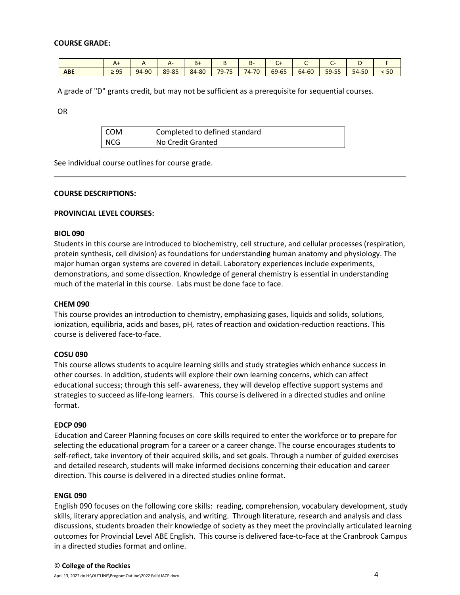## **COURSE GRADE:**

|            |                                        |       | Δ.    | ъ.<br>D+ |           | Ď۰        | ◡     |       |                           |       |    |
|------------|----------------------------------------|-------|-------|----------|-----------|-----------|-------|-------|---------------------------|-------|----|
| <b>ABE</b> | $\overline{\mathsf{a}}$<br><u>- JJ</u> | 94-90 | 89-85 | 84-80    | $79 - 75$ | $74 - 70$ | 69-65 | 64-60 | $- -$<br>$ \sim$<br>59-5F | 54-50 | 50 |

A grade of "D" grants credit, but may not be sufficient as a prerequisite for sequential courses.

OR

| L COM | Completed to defined standard |  |  |
|-------|-------------------------------|--|--|
| l NCG | No Credit Granted             |  |  |

See individual course outlines for course grade.

## **COURSE DESCRIPTIONS:**

## **PROVINCIAL LEVEL COURSES:**

#### **BIOL 090**

Students in this course are introduced to biochemistry, cell structure, and cellular processes (respiration, protein synthesis, cell division) as foundations for understanding human anatomy and physiology. The major human organ systems are covered in detail. Laboratory experiences include experiments, demonstrations, and some dissection. Knowledge of general chemistry is essential in understanding much of the material in this course. Labs must be done face to face.

#### **CHEM 090**

This course provides an introduction to chemistry, emphasizing gases, liquids and solids, solutions, ionization, equilibria, acids and bases, pH, rates of reaction and oxidation-reduction reactions. This course is delivered face-to-face.

## **COSU 090**

This course allows students to acquire learning skills and study strategies which enhance success in other courses. In addition, students will explore their own learning concerns, which can affect educational success; through this self- awareness, they will develop effective support systems and strategies to succeed as life-long learners.This course is delivered in a directed studies and online format.

#### **EDCP 090**

Education and Career Planning focuses on core skills required to enter the workforce or to prepare for selecting the educational program for a career or a career change. The course encourages students to self-reflect, take inventory of their acquired skills, and set goals. Through a number of guided exercises and detailed research, students will make informed decisions concerning their education and career direction. This course is delivered in a directed studies online format.

## **ENGL 090**

English 090 focuses on the following core skills: reading, comprehension, vocabulary development, study skills, literary appreciation and analysis, and writing. Through literature, research and analysis and class discussions, students broaden their knowledge of society as they meet the provincially articulated learning outcomes for Provincial Level ABE English. This course is delivered face-to-face at the Cranbrook Campus in a directed studies format and online.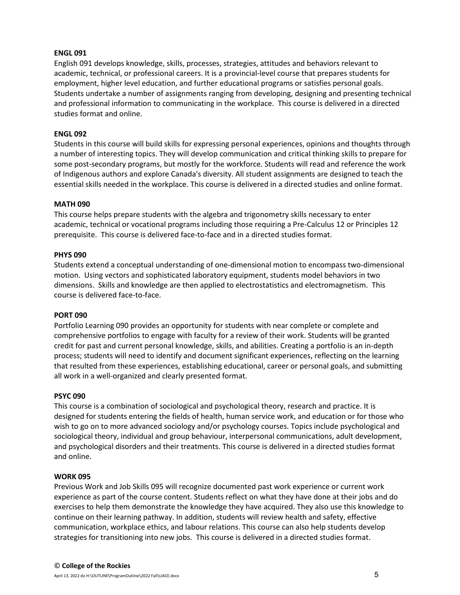## **ENGL 091**

English 091 develops knowledge, skills, processes, strategies, attitudes and behaviors relevant to academic, technical, or professional careers. It is a provincial-level course that prepares students for employment, higher level education, and further educational programs or satisfies personal goals. Students undertake a number of assignments ranging from developing, designing and presenting technical and professional information to communicating in the workplace. This course is delivered in a directed studies format and online.

# **ENGL 092**

Students in this course will build skills for expressing personal experiences, opinions and thoughts through a number of interesting topics. They will develop communication and critical thinking skills to prepare for some post-secondary programs, but mostly for the workforce. Students will read and reference the work of Indigenous authors and explore Canada's diversity. All student assignments are designed to teach the essential skills needed in the workplace. This course is delivered in a directed studies and online format.

## **MATH 090**

This course helps prepare students with the algebra and trigonometry skills necessary to enter academic, technical or vocational programs including those requiring a Pre-Calculus 12 or Principles 12 prerequisite. This course is delivered face-to-face and in a directed studies format.

## **PHYS 090**

Students extend a conceptual understanding of one-dimensional motion to encompass two-dimensional motion. Using vectors and sophisticated laboratory equipment, students model behaviors in two dimensions. Skills and knowledge are then applied to electrostatistics and electromagnetism. This course is delivered face-to-face.

## **PORT 090**

Portfolio Learning 090 provides an opportunity for students with near complete or complete and comprehensive portfolios to engage with faculty for a review of their work. Students will be granted credit for past and current personal knowledge, skills, and abilities. Creating a portfolio is an in-depth process; students will need to identify and document significant experiences, reflecting on the learning that resulted from these experiences, establishing educational, career or personal goals, and submitting all work in a well-organized and clearly presented format.

# **PSYC 090**

This course is a combination of sociological and psychological theory, research and practice. It is designed for students entering the fields of health, human service work, and education or for those who wish to go on to more advanced sociology and/or psychology courses. Topics include psychological and sociological theory, individual and group behaviour, interpersonal communications, adult development, and psychological disorders and their treatments. This course is delivered in a directed studies format and online.

## **WORK 095**

Previous Work and Job Skills 095 will recognize documented past work experience or current work experience as part of the course content. Students reflect on what they have done at their jobs and do exercises to help them demonstrate the knowledge they have acquired. They also use this knowledge to continue on their learning pathway. In addition, students will review health and safety, effective communication, workplace ethics, and labour relations. This course can also help students develop strategies for transitioning into new jobs. This course is delivered in a directed studies format.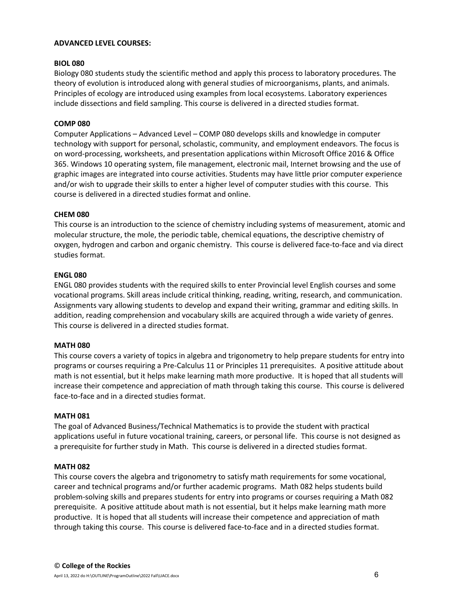## **ADVANCED LEVEL COURSES:**

## **BIOL 080**

Biology 080 students study the scientific method and apply this process to laboratory procedures. The theory of evolution is introduced along with general studies of microorganisms, plants, and animals. Principles of ecology are introduced using examples from local ecosystems. Laboratory experiences include dissections and field sampling. This course is delivered in a directed studies format.

# **COMP 080**

Computer Applications – Advanced Level – COMP 080 develops skills and knowledge in computer technology with support for personal, scholastic, community, and employment endeavors. The focus is on word-processing, worksheets, and presentation applications within Microsoft Office 2016 & Office 365. Windows 10 operating system, file management, electronic mail, Internet browsing and the use of graphic images are integrated into course activities. Students may have little prior computer experience and/or wish to upgrade their skills to enter a higher level of computer studies with this course. This course is delivered in a directed studies format and online.

## **CHEM 080**

This course is an introduction to the science of chemistry including systems of measurement, atomic and molecular structure, the mole, the periodic table, chemical equations, the descriptive chemistry of oxygen, hydrogen and carbon and organic chemistry. This course is delivered face-to-face and via direct studies format.

## **ENGL 080**

ENGL 080 provides students with the required skills to enter Provincial level English courses and some vocational programs. Skill areas include critical thinking, reading, writing, research, and communication. Assignments vary allowing students to develop and expand their writing, grammar and editing skills. In addition, reading comprehension and vocabulary skills are acquired through a wide variety of genres. This course is delivered in a directed studies format.

# **MATH 080**

This course covers a variety of topics in algebra and trigonometry to help prepare students for entry into programs or courses requiring a Pre-Calculus 11 or Principles 11 prerequisites. A positive attitude about math is not essential, but it helps make learning math more productive. It is hoped that all students will increase their competence and appreciation of math through taking this course. This course is delivered face-to-face and in a directed studies format.

## **MATH 081**

The goal of Advanced Business/Technical Mathematics is to provide the student with practical applications useful in future vocational training, careers, or personal life. This course is not designed as a prerequisite for further study in Math. This course is delivered in a directed studies format.

## **MATH 082**

This course covers the algebra and trigonometry to satisfy math requirements for some vocational, career and technical programs and/or further academic programs. Math 082 helps students build problem-solving skills and prepares students for entry into programs or courses requiring a Math 082 prerequisite. A positive attitude about math is not essential, but it helps make learning math more productive. It is hoped that all students will increase their competence and appreciation of math through taking this course. This course is delivered face-to-face and in a directed studies format.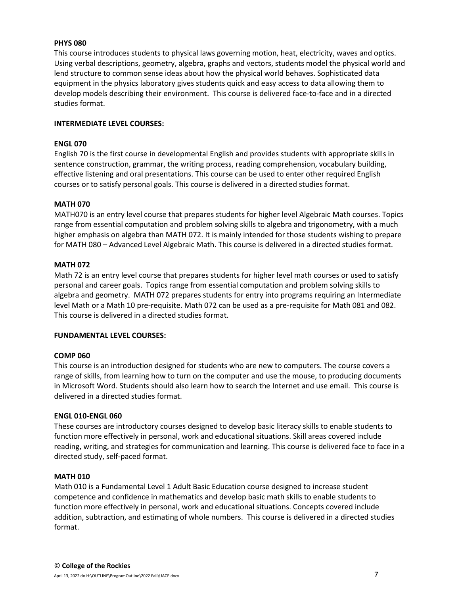## **PHYS 080**

This course introduces students to physical laws governing motion, heat, electricity, waves and optics. Using verbal descriptions, geometry, algebra, graphs and vectors, students model the physical world and lend structure to common sense ideas about how the physical world behaves. Sophisticated data equipment in the physics laboratory gives students quick and easy access to data allowing them to develop models describing their environment. This course is delivered face-to-face and in a directed studies format.

## **INTERMEDIATE LEVEL COURSES:**

## **ENGL 070**

English 70 is the first course in developmental English and provides students with appropriate skills in sentence construction, grammar, the writing process, reading comprehension, vocabulary building, effective listening and oral presentations. This course can be used to enter other required English courses or to satisfy personal goals. This course is delivered in a directed studies format.

## **MATH 070**

MATH070 is an entry level course that prepares students for higher level Algebraic Math courses. Topics range from essential computation and problem solving skills to algebra and trigonometry, with a much higher emphasis on algebra than MATH 072. It is mainly intended for those students wishing to prepare for MATH 080 – Advanced Level Algebraic Math. This course is delivered in a directed studies format.

## **MATH 072**

Math 72 is an entry level course that prepares students for higher level math courses or used to satisfy personal and career goals. Topics range from essential computation and problem solving skills to algebra and geometry. MATH 072 prepares students for entry into programs requiring an Intermediate level Math or a Math 10 pre-requisite. Math 072 can be used as a pre-requisite for Math 081 and 082. This course is delivered in a directed studies format.

## **FUNDAMENTAL LEVEL COURSES:**

## **COMP 060**

This course is an introduction designed for students who are new to computers. The course covers a range of skills, from learning how to turn on the computer and use the mouse, to producing documents in Microsoft Word. Students should also learn how to search the Internet and use email. This course is delivered in a directed studies format.

## **ENGL 010-ENGL 060**

These courses are introductory courses designed to develop basic literacy skills to enable students to function more effectively in personal, work and educational situations. Skill areas covered include reading, writing, and strategies for communication and learning. This course is delivered face to face in a directed study, self-paced format.

## **MATH 010**

Math 010 is a Fundamental Level 1 Adult Basic Education course designed to increase student competence and confidence in mathematics and develop basic math skills to enable students to function more effectively in personal, work and educational situations. Concepts covered include addition, subtraction, and estimating of whole numbers. This course is delivered in a directed studies format.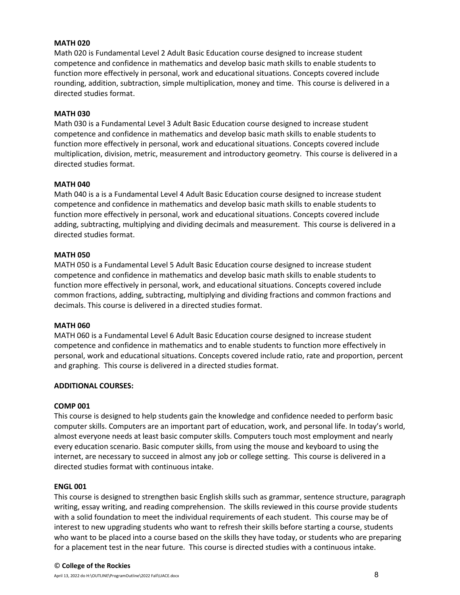## **MATH 020**

Math 020 is Fundamental Level 2 Adult Basic Education course designed to increase student competence and confidence in mathematics and develop basic math skills to enable students to function more effectively in personal, work and educational situations. Concepts covered include rounding, addition, subtraction, simple multiplication, money and time. This course is delivered in a directed studies format.

## **MATH 030**

Math 030 is a Fundamental Level 3 Adult Basic Education course designed to increase student competence and confidence in mathematics and develop basic math skills to enable students to function more effectively in personal, work and educational situations. Concepts covered include multiplication, division, metric, measurement and introductory geometry. This course is delivered in a directed studies format.

## **MATH 040**

Math 040 is a is a Fundamental Level 4 Adult Basic Education course designed to increase student competence and confidence in mathematics and develop basic math skills to enable students to function more effectively in personal, work and educational situations. Concepts covered include adding, subtracting, multiplying and dividing decimals and measurement. This course is delivered in a directed studies format.

## **MATH 050**

MATH 050 is a Fundamental Level 5 Adult Basic Education course designed to increase student competence and confidence in mathematics and develop basic math skills to enable students to function more effectively in personal, work, and educational situations. Concepts covered include common fractions, adding, subtracting, multiplying and dividing fractions and common fractions and decimals. This course is delivered in a directed studies format.

## **MATH 060**

MATH 060 is a Fundamental Level 6 Adult Basic Education course designed to increase student competence and confidence in mathematics and to enable students to function more effectively in personal, work and educational situations. Concepts covered include ratio, rate and proportion, percent and graphing. This course is delivered in a directed studies format.

## **ADDITIONAL COURSES:**

## **COMP 001**

This course is designed to help students gain the knowledge and confidence needed to perform basic computer skills. Computers are an important part of education, work, and personal life. In today's world, almost everyone needs at least basic computer skills. Computers touch most employment and nearly every education scenario. Basic computer skills, from using the mouse and keyboard to using the internet, are necessary to succeed in almost any job or college setting. This course is delivered in a directed studies format with continuous intake.

## **ENGL 001**

This course is designed to strengthen basic English skills such as grammar, sentence structure, paragraph writing, essay writing, and reading comprehension. The skills reviewed in this course provide students with a solid foundation to meet the individual requirements of each student. This course may be of interest to new upgrading students who want to refresh their skills before starting a course, students who want to be placed into a course based on the skills they have today, or students who are preparing for a placement test in the near future. This course is directed studies with a continuous intake.